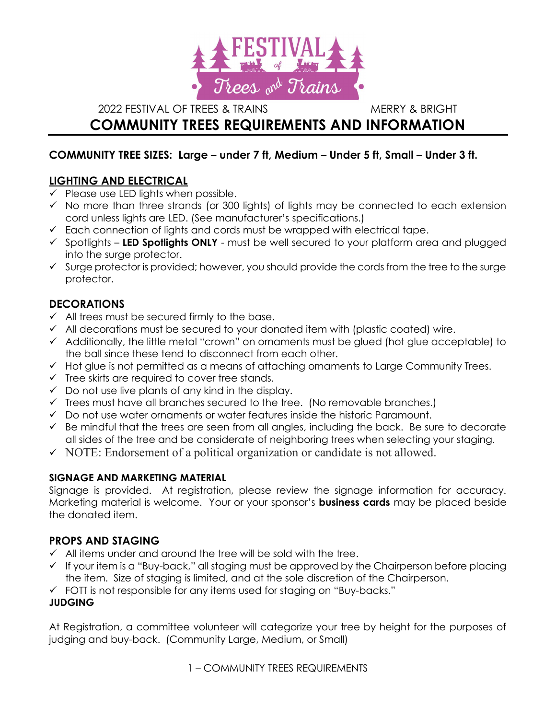

2022 FESTIVAL OF TREES & TRAINS MERRY & BRIGHT

# COMMUNITY TREES REQUIREMENTS AND INFORMATION

## COMMUNITY TREE SIZES: Large – under 7 ft, Medium – Under 5 ft, Small – Under 3 ft.

# LIGHTING AND ELECTRICAL

- $\checkmark$  Please use LED lights when possible.
- $\checkmark$  No more than three strands (or 300 lights) of lights may be connected to each extension cord unless lights are LED. (See manufacturer's specifications.)
- $\checkmark$  Each connection of lights and cords must be wrapped with electrical tape.
- $\checkmark$  Spotlights LED Spotlights ONLY must be well secured to your platform area and plugged into the surge protector.
- $\checkmark$  Surge protector is provided; however, you should provide the cords from the tree to the surge protector.

# DECORATIONS

- $\checkmark$  All trees must be secured firmly to the base.
- $\checkmark$  All decorations must be secured to your donated item with (plastic coated) wire.
- $\checkmark$  Additionally, the little metal "crown" on ornaments must be glued (hot glue acceptable) to the ball since these tend to disconnect from each other.
- $\checkmark$  Hot glue is not permitted as a means of attaching ornaments to Large Community Trees.
- $\checkmark$  Tree skirts are required to cover tree stands.
- $\checkmark$  Do not use live plants of any kind in the display.
- $\checkmark$  Trees must have all branches secured to the tree. (No removable branches.)
- $\checkmark$  Do not use water ornaments or water features inside the historic Paramount.
- $\checkmark$  Be mindful that the trees are seen from all angles, including the back. Be sure to decorate all sides of the tree and be considerate of neighboring trees when selecting your staging.
- $\checkmark$  NOTE: Endorsement of a political organization or candidate is not allowed.

### SIGNAGE AND MARKETING MATERIAL

Signage is provided. At registration, please review the signage information for accuracy. Marketing material is welcome. Your or your sponsor's **business cards** may be placed beside the donated item.

# PROPS AND STAGING

- $\checkmark$  All items under and around the tree will be sold with the tree.
- $\checkmark$  If your item is a "Buy-back," all staging must be approved by the Chairperson before placing the item. Size of staging is limited, and at the sole discretion of the Chairperson.
- FOTT is not responsible for any items used for staging on "Buy-backs."

# JUDGING

At Registration, a committee volunteer will categorize your tree by height for the purposes of judging and buy-back. (Community Large, Medium, or Small)

1 – COMMUNITY TREES REQUIREMENTS